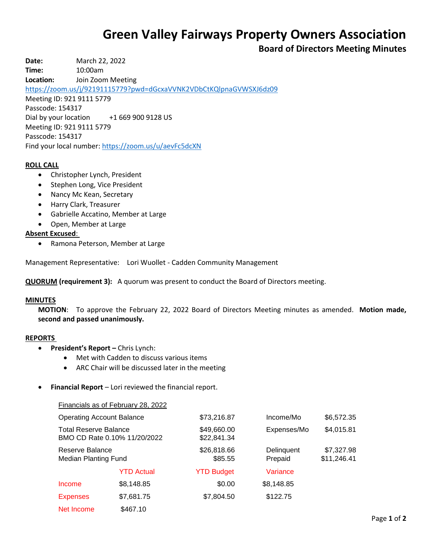# **Green Valley Fairways Property Owners Association**

# **Board of Directors Meeting Minutes**

**Date:** March 22, 2022

**Time:** 10:00am

**Location:** Join Zoom Meeting

<https://zoom.us/j/92191115779?pwd=dGcxaVVNK2VDbCtKQlpnaGVWSXJ6dz09>

Meeting ID: 921 9111 5779 Passcode: 154317

Dial by your location +1 669 900 9128 US Meeting ID: 921 9111 5779 Passcode: 154317

Find your local number[: https://zoom.us/u/aevFc5dcXN](https://zoom.us/u/aevFc5dcXN)

# **ROLL CALL**

- Christopher Lynch, President
- Stephen Long, Vice President
- Nancy Mc Kean, Secretary
- Harry Clark, Treasurer
- Gabrielle Accatino, Member at Large
- Open, Member at Large

# **Absent Excused**:

Ramona Peterson, Member at Large

Management Representative: Lori Wuollet - Cadden Community Management

**QUORUM (requirement 3):** A quorum was present to conduct the Board of Directors meeting.

#### **MINUTES**

**MOTION**: To approve the February 22, 2022 Board of Directors Meeting minutes as amended. **Motion made, second and passed unanimously.**

#### **REPORTS**

- **President's Report –** Chris Lynch:
	- Met with Cadden to discuss various items
	- ARC Chair will be discussed later in the meeting
- **Financial Report** Lori reviewed the financial report.

|                                                              | Financials as of February 28, 2022 |                            |                       |                           |
|--------------------------------------------------------------|------------------------------------|----------------------------|-----------------------|---------------------------|
| <b>Operating Account Balance</b>                             |                                    | \$73,216.87                | Income/Mo             | \$6,572.35                |
| <b>Total Reserve Balance</b><br>BMO CD Rate 0.10% 11/20/2022 |                                    | \$49,660.00<br>\$22,841.34 | Expenses/Mo           | \$4,015.81                |
| Reserve Balance<br><b>Median Planting Fund</b>               |                                    | \$26,818.66<br>\$85.55     | Delinquent<br>Prepaid | \$7,327.98<br>\$11,246.41 |
|                                                              | <b>YTD Actual</b>                  | <b>YTD Budget</b>          | Variance              |                           |
| Income                                                       | \$8,148.85                         | \$0.00                     | \$8,148.85            |                           |
| <b>Expenses</b>                                              | \$7,681.75                         | \$7,804.50                 | \$122.75              |                           |
| Net Income                                                   | \$467.10                           |                            |                       |                           |